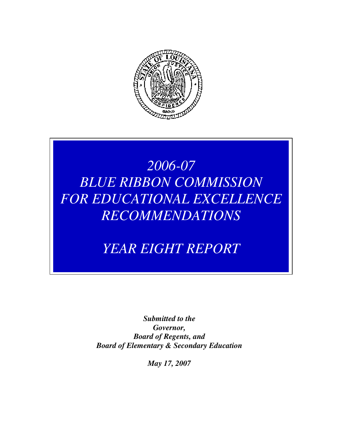

# *2006-07 BLUE RIBBON COMMISSION FOR EDUCATIONAL EXCELLENCE RECOMMENDATIONS*

*YEAR EIGHT REPORT* 

*Submitted to the Governor, Board of Regents, and Board of Elementary & Secondary Education* 

*May 17, 2007*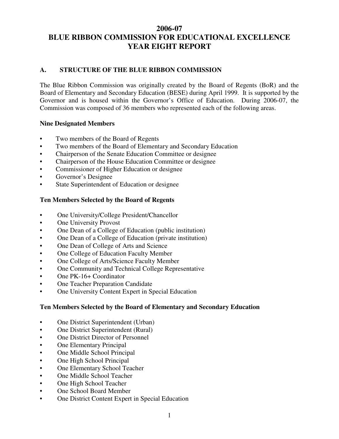#### **2006-07 BLUE RIBBON COMMISSION FOR EDUCATIONAL EXCELLENCE YEAR EIGHT REPORT**

#### **A. STRUCTURE OF THE BLUE RIBBON COMMISSION**

The Blue Ribbon Commission was originally created by the Board of Regents (BoR) and the Board of Elementary and Secondary Education (BESE) during April 1999. It is supported by the Governor and is housed within the Governor's Office of Education. During 2006-07, the Commission was composed of 36 members who represented each of the following areas.

#### **Nine Designated Members**

- Two members of the Board of Regents
- Two members of the Board of Elementary and Secondary Education
- Chairperson of the Senate Education Committee or designee
- Chairperson of the House Education Committee or designee
- Commissioner of Higher Education or designee
- Governor's Designee
- State Superintendent of Education or designee

#### **Ten Members Selected by the Board of Regents**

- One University/College President/Chancellor
- **One University Provost**
- One Dean of a College of Education (public institution)
- One Dean of a College of Education (private institution)
- One Dean of College of Arts and Science
- One College of Education Faculty Member
- One College of Arts/Science Faculty Member
- One Community and Technical College Representative
- One PK-16+ Coordinator
- One Teacher Preparation Candidate
- One University Content Expert in Special Education

#### **Ten Members Selected by the Board of Elementary and Secondary Education**

- One District Superintendent (Urban)
- One District Superintendent (Rural)
- One District Director of Personnel
- **One Elementary Principal**
- One Middle School Principal
- One High School Principal
- One Elementary School Teacher
- One Middle School Teacher
- One High School Teacher
- One School Board Member
- One District Content Expert in Special Education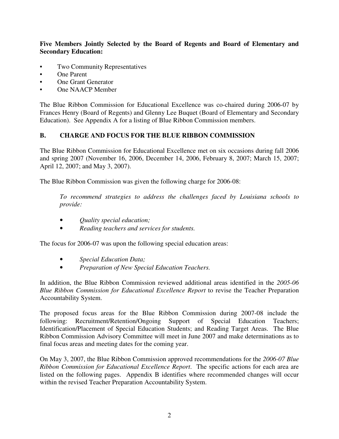#### **Five Members Jointly Selected by the Board of Regents and Board of Elementary and Secondary Education:**

- Two Community Representatives
- One Parent
- One Grant Generator
- One NAACP Member

The Blue Ribbon Commission for Educational Excellence was co-chaired during 2006-07 by Frances Henry (Board of Regents) and Glenny Lee Buquet (Board of Elementary and Secondary Education). See Appendix A for a listing of Blue Ribbon Commission members.

#### **B. CHARGE AND FOCUS FOR THE BLUE RIBBON COMMISSION**

The Blue Ribbon Commission for Educational Excellence met on six occasions during fall 2006 and spring 2007 (November 16, 2006, December 14, 2006, February 8, 2007; March 15, 2007; April 12, 2007; and May 3, 2007).

The Blue Ribbon Commission was given the following charge for 2006-08:

*To recommend strategies to address the challenges faced by Louisiana schools to provide:* 

- *Quality special education;*
- • *Reading teachers and services for students.*

The focus for 2006-07 was upon the following special education areas:

- *Special Education Data;*
- *Preparation of New Special Education Teachers.*

In addition, the Blue Ribbon Commission reviewed additional areas identified in the *2005-06 Blue Ribbon Commission for Educational Excellence Report* to revise the Teacher Preparation Accountability System.

The proposed focus areas for the Blue Ribbon Commission during 2007-08 include the following: Recruitment/Retention/Ongoing Support of Special Education Teachers; Identification/Placement of Special Education Students; and Reading Target Areas. The Blue Ribbon Commission Advisory Committee will meet in June 2007 and make determinations as to final focus areas and meeting dates for the coming year.

On May 3, 2007, the Blue Ribbon Commission approved recommendations for the *2006-07 Blue Ribbon Commission for Educational Excellence Report*. The specific actions for each area are listed on the following pages. Appendix B identifies where recommended changes will occur within the revised Teacher Preparation Accountability System.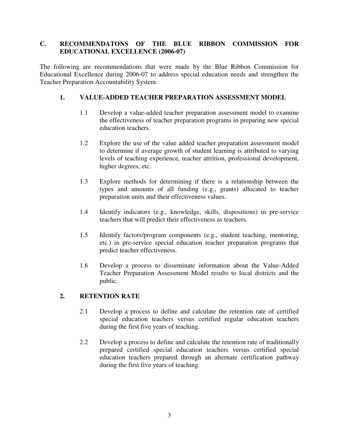#### **C. RECOMMENDATONS OF THE BLUE RIBBON COMMISSION FOR EDUCATIONAL EXCELLENCE (2006-07)**

The following are recommendations that were made by the Blue Ribbon Commission for Educational Excellence during 2006-07 to address special education needs and strengthen the Teacher Preparation Accountability System.

#### **1. VALUE-ADDED TEACHER PREPARATION ASSESSMENT MODEL**

- 1.1 Develop a value-added teacher preparation assessment model to examine the effectiveness of teacher preparation programs in preparing new special education teachers.
- 1.2 Explore the use of the value added teacher preparation assessment model to determine if average growth of student learning is attributed to varying levels of teaching experience, teacher attrition, professional development, higher degrees, etc.
- 1.3 Explore methods for determining if there is a relationship between the types and amounts of all funding (e.g., grants) allocated to teacher preparation units and their effectiveness values.
- 1.4 Identify indicators (e.g., knowledge, skills, dispositions) in pre-service teachers that will predict their effectiveness as teachers.
- 1.5 Identify factors/program components (e.g., student teaching, mentoring, etc.) in pre-service special education teacher preparation programs that predict teacher effectiveness.
- 1.6 Develop a process to disseminate information about the Value-Added Teacher Preparation Assessment Model results to local districts and the public.

#### **2. RETENTION RATE**

- 2.1 Develop a process to define and calculate the retention rate of certified special education teachers versus certified regular education teachers during the first five years of teaching.
- 2.2 Develop a process to define and calculate the retention rate of traditionally prepared certified special education teachers versus certified special education teachers prepared through an alternate certification pathway during the first five years of teaching.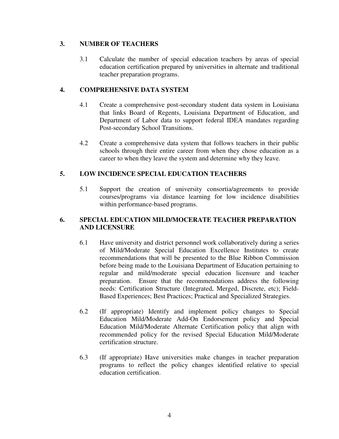#### **3. NUMBER OF TEACHERS**

3.1 Calculate the number of special education teachers by areas of special education certification prepared by universities in alternate and traditional teacher preparation programs.

#### **4. COMPREHENSIVE DATA SYSTEM**

- 4.1 Create a comprehensive post-secondary student data system in Louisiana that links Board of Regents, Louisiana Department of Education, and Department of Labor data to support federal IDEA mandates regarding Post-secondary School Transitions.
- 4.2 Create a comprehensive data system that follows teachers in their public schools through their entire career from when they chose education as a career to when they leave the system and determine why they leave.

#### **5. LOW INCIDENCE SPECIAL EDUCATION TEACHERS**

5.1 Support the creation of university consortia/agreements to provide courses/programs via distance learning for low incidence disabilities within performance-based programs.

#### **6. SPECIAL EDUCATION MILD/MOCERATE TEACHER PREPARATION AND LICENSURE**

- 6.1 Have university and district personnel work collaboratively during a series of Mild/Moderate Special Education Excellence Institutes to create recommendations that will be presented to the Blue Ribbon Commission before being made to the Louisiana Department of Education pertaining to regular and mild/moderate special education licensure and teacher preparation. Ensure that the recommendations address the following needs: Certification Structure (Integrated, Merged, Discrete, etc); Field-Based Experiences; Best Practices; Practical and Specialized Strategies.
- 6.2 (If appropriate) Identify and implement policy changes to Special Education Mild/Moderate Add-On Endorsement policy and Special Education Mild/Moderate Alternate Certification policy that align with recommended policy for the revised Special Education Mild/Moderate certification structure.
- 6.3 (If appropriate) Have universities make changes in teacher preparation programs to reflect the policy changes identified relative to special education certification.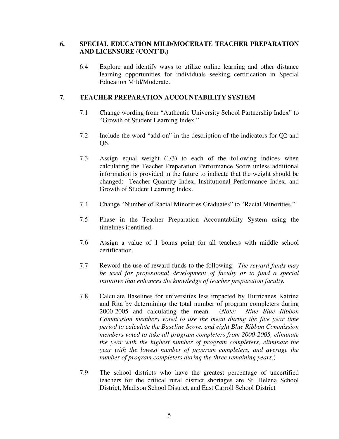#### **6. SPECIAL EDUCATION MILD/MOCERATE TEACHER PREPARATION AND LICENSURE (CONT'D.)**

6.4 Explore and identify ways to utilize online learning and other distance learning opportunities for individuals seeking certification in Special Education Mild/Moderate.

#### **7. TEACHER PREPARATION ACCOUNTABILITY SYSTEM**

- 7.1 Change wording from "Authentic University School Partnership Index" to "Growth of Student Learning Index."
- 7.2 Include the word "add-on" in the description of the indicators for Q2 and Q6.
- 7.3 Assign equal weight (1/3) to each of the following indices when calculating the Teacher Preparation Performance Score unless additional information is provided in the future to indicate that the weight should be changed: Teacher Quantity Index, Institutional Performance Index, and Growth of Student Learning Index.
- 7.4 Change "Number of Racial Minorities Graduates" to "Racial Minorities."
- 7.5 Phase in the Teacher Preparation Accountability System using the timelines identified.
- 7.6 Assign a value of 1 bonus point for all teachers with middle school certification.
- 7.7 Reword the use of reward funds to the following: *The reward funds may be used for professional development of faculty or to fund a special initiative that enhances the knowledge of teacher preparation faculty.*
- 7.8 Calculate Baselines for universities less impacted by Hurricanes Katrina and Rita by determining the total number of program completers during 2000-2005 and calculating the mean. (*Note: Nine Blue Ribbon Commission members voted to use the mean during the five year time period to calculate the Baseline Score, and eight Blue Ribbon Commission members voted to take all program completers from 2000-2005, eliminate the year with the highest number of program completers, eliminate the year with the lowest number of program completers, and average the number of program completers during the three remaining years*.)
- 7.9 The school districts who have the greatest percentage of uncertified teachers for the critical rural district shortages are St. Helena School District, Madison School District, and East Carroll School District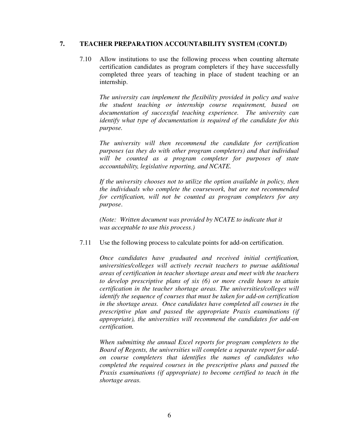#### **7. TEACHER PREPARATION ACCOUNTABILITY SYSTEM (CONT.D)**

7.10 Allow institutions to use the following process when counting alternate certification candidates as program completers if they have successfully completed three years of teaching in place of student teaching or an internship.

*The university can implement the flexibility provided in policy and waive the student teaching or internship course requirement, based on documentation of successful teaching experience. The university can identify what type of documentation is required of the candidate for this purpose.* 

*The university will then recommend the candidate for certification purposes (as they do with other program completers) and that individual will be counted as a program completer for purposes of state accountability, legislative reporting, and NCATE.* 

*If the university chooses not to utilize the option available in policy, then the individuals who complete the coursework, but are not recommended for certification, will not be counted as program completers for any purpose*.

 *(Note: Written document was provided by NCATE to indicate that it was acceptable to use this process.)* 

7.11 Use the following process to calculate points for add-on certification.

*Once candidates have graduated and received initial certification, universities/colleges will actively recruit teachers to pursue additional areas of certification in teacher shortage areas and meet with the teachers to develop prescriptive plans of six (6) or more credit hours to attain certification in the teacher shortage areas. The universities/colleges will identify the sequence of courses that must be taken for add-on certification in the shortage areas. Once candidates have completed all courses in the prescriptive plan and passed the appropriate Praxis examinations (if appropriate), the universities will recommend the candidates for add-on certification.* 

*When submitting the annual Excel reports for program completers to the Board of Regents, the universities will complete a separate report for addon course completers that identifies the names of candidates who completed the required courses in the prescriptive plans and passed the Praxis examinations (if appropriate) to become certified to teach in the shortage areas.*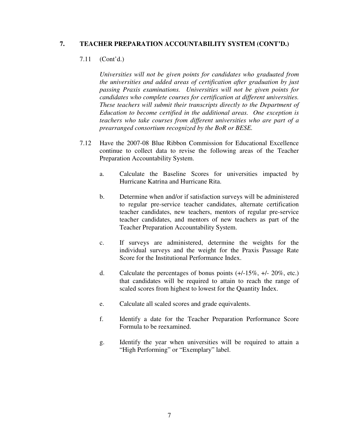#### **7. TEACHER PREPARATION ACCOUNTABILITY SYSTEM (CONT'D.)**

#### 7.11 (Cont'd.)

*Universities will not be given points for candidates who graduated from the universities and added areas of certification after graduation by just passing Praxis examinations. Universities will not be given points for candidates who complete courses for certification at different universities. These teachers will submit their transcripts directly to the Department of Education to become certified in the additional areas. One exception is teachers who take courses from different universities who are part of a prearranged consortium recognized by the BoR or BESE.* 

- 7.12 Have the 2007-08 Blue Ribbon Commission for Educational Excellence continue to collect data to revise the following areas of the Teacher Preparation Accountability System.
	- a. Calculate the Baseline Scores for universities impacted by Hurricane Katrina and Hurricane Rita.
	- b. Determine when and/or if satisfaction surveys will be administered to regular pre-service teacher candidates, alternate certification teacher candidates, new teachers, mentors of regular pre-service teacher candidates, and mentors of new teachers as part of the Teacher Preparation Accountability System.
	- c. If surveys are administered, determine the weights for the individual surveys and the weight for the Praxis Passage Rate Score for the Institutional Performance Index.
	- d. Calculate the percentages of bonus points  $(+/-15\%, +/-20\%, \text{ etc.})$ that candidates will be required to attain to reach the range of scaled scores from highest to lowest for the Quantity Index.
	- e. Calculate all scaled scores and grade equivalents.
	- f. Identify a date for the Teacher Preparation Performance Score Formula to be reexamined.
	- g. Identify the year when universities will be required to attain a "High Performing" or "Exemplary" label.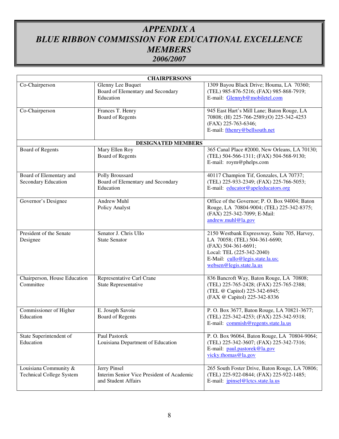# *APPENDIX A BLUE RIBBON COMMISSION FOR EDUCATIONAL EXCELLENCE MEMBERS 2006/2007*

| <b>CHAIRPERSONS</b>                                      |                                                                                  |                                                                                                                                                                                                   |  |  |  |  |
|----------------------------------------------------------|----------------------------------------------------------------------------------|---------------------------------------------------------------------------------------------------------------------------------------------------------------------------------------------------|--|--|--|--|
| Co-Chairperson                                           | Glenny Lee Buquet<br>Board of Elementary and Secondary<br>Education              | 1309 Bayou Black Drive; Houma, LA 70360;<br>(TEL) 985-876-5216; (FAX) 985-868-7919;<br>E-mail: Glennyb@mobiletel.com                                                                              |  |  |  |  |
| Frances T. Henry<br>Co-Chairperson<br>Board of Regents   |                                                                                  | 945 East Hart's Mill Lane; Baton Rouge, LA<br>70808; (H) 225-766-2589; (O) 225-342-4253<br>(FAX) 225-763-6346;<br>E-mail: fthenry@bellsouth.net                                                   |  |  |  |  |
|                                                          | <b>DESIGNATED MEMBERS</b>                                                        |                                                                                                                                                                                                   |  |  |  |  |
| Board of Regents                                         | Mary Ellen Roy<br><b>Board of Regents</b>                                        | 365 Canal Place #2000, New Orleans, LA 70130;<br>(TEL) 504-566-1311; (FAX) 504-568-9130;<br>E-mail: roym@phelps.com                                                                               |  |  |  |  |
| Board of Elementary and<br>Secondary Education           | Polly Broussard<br>Board of Elementary and Secondary<br>Education                | 40117 Champion Tif, Gonzales, LA 70737;<br>(TEL) 225-933-2349; (FAX) 225-766-5053;<br>E-mail: educator@apeleducators.org                                                                          |  |  |  |  |
| Governor's Designee                                      | Andrew Muhl<br>Policy Analyst                                                    | Office of the Governor; P. O. Box 94004; Baton<br>Rouge, LA 70804-9004; (TEL) 225-342-8375;<br>(FAX) 225-342-7099; E-Mail:<br>andrew.muhl@la.gov                                                  |  |  |  |  |
| President of the Senate<br>Designee                      | Senator J. Chris Ullo<br><b>State Senator</b>                                    | 2150 Westbank Expressway, Suite 705, Harvey,<br>LA 70058; (TEL) 504-361-6690;<br>(FAX) 504-361-6691;<br>Local: TEL (225-342-2040)<br>E-Mail: cullo@legis.state.la.us;<br>websen@legis.state.la.us |  |  |  |  |
| Chairperson, House Education<br>Committee                | Representative Carl Crane<br>State Representative                                | 836 Bancroft Way, Baton Rouge, LA 70808;<br>(TEL) 225-765-2428; (FAX) 225-765-2388;<br>(TEL @ Capitol) 225-342-6945;<br>(FAX @ Capitol) 225-342-8336                                              |  |  |  |  |
| Commissioner of Higher<br>Education                      | E. Joseph Savoie<br>Board of Regents                                             | P. O. Box 3677, Baton Rouge, LA 70821-3677;<br>(TEL) 225-342-4253; (FAX) 225-342-9318;<br>E-mail: commish@regents.state.la.us                                                                     |  |  |  |  |
| State Superintendent of<br>Education                     | Paul Pastorek<br>Louisiana Department of Education                               | P. O. Box 96064, Baton Rouge, LA 70804-9064;<br>(TEL) 225-342-3607; (FAX) 225-342-7316;<br>E-mail: paul.pastorek@la.gov<br>vicky.thomas@la.gov                                                    |  |  |  |  |
| Louisiana Community &<br><b>Technical College System</b> | Jerry Pinsel<br>Interim Senior Vice President of Academic<br>and Student Affairs | 265 South Foster Drive, Baton Rouge, LA 70806;<br>(TEL) 225-922-0844; (FAX) 225-922-1485;<br>E-mail: <i>jpinsel@lctcs.state.la.us</i>                                                             |  |  |  |  |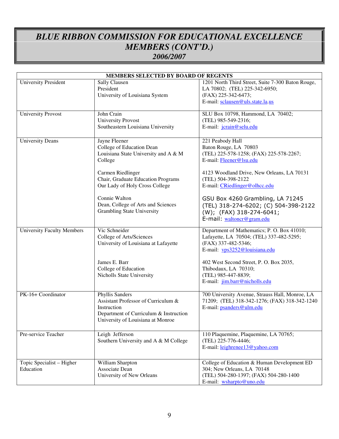# *BLUE RIBBON COMMISSION FOR EDUCATIONAL EXCELLENCE MEMBERS (CONT'D.) 2006/2007*

| MEMBERS SELECTED BY BOARD OF REGENTS   |                                                                                                                                                                                                                                                                                        |                                                                                                                                                                                                                                                                                                                                                           |  |  |  |
|----------------------------------------|----------------------------------------------------------------------------------------------------------------------------------------------------------------------------------------------------------------------------------------------------------------------------------------|-----------------------------------------------------------------------------------------------------------------------------------------------------------------------------------------------------------------------------------------------------------------------------------------------------------------------------------------------------------|--|--|--|
| <b>University President</b>            | Sally Clausen<br>President<br>University of Louisiana System                                                                                                                                                                                                                           | 1201 North Third Street, Suite 7-300 Baton Rouge,<br>LA 70802; (TEL) 225-342-6950;<br>(FAX) 225-342-6473;<br>E-mail: sclausen@uls.state.la.us                                                                                                                                                                                                             |  |  |  |
| <b>University Provost</b>              | John Crain<br><b>University Provost</b><br>Southeastern Louisiana University                                                                                                                                                                                                           | SLU Box 10798, Hammond, LA 70402;<br>(TEL) 985-549-2316;<br>E-mail: jcrain@selu.edu                                                                                                                                                                                                                                                                       |  |  |  |
| <b>University Deans</b>                | Jayne Fleener<br>College of Education Dean<br>Louisiana State University and A & M<br>College<br>Carmen Riedlinger<br>Chair, Graduate Education Programs<br>Our Lady of Holy Cross College<br>Connie Walton<br>Dean, College of Arts and Sciences<br><b>Grambling State University</b> | 221 Peabody Hall<br>Baton Rouge, LA 70803<br>(TEL) 225-578-1258; (FAX) 225-578-2267;<br>E-mail: Fleener@lsu.edu<br>4123 Woodland Drive, New Orleans, LA 70131<br>(TEL) 504-398-2122<br>E-mail: CRiedlinger@olhcc.edu<br>GSU Box 4260 Grambling, LA 71245<br>(TEL) 318-274-6202; (C) 504-398-2122<br>(W); (FAX) 318-274-6041;<br>E-mail: waltoncr@gram.edu |  |  |  |
| <b>University Faculty Members</b>      | Vic Schneider<br>College of Arts/Sciences<br>University of Louisiana at Lafayette<br>James E. Barr<br>College of Education<br>Nicholls State University                                                                                                                                | Department of Mathematics; P. O. Box 41010;<br>Lafayette, LA 70504; (TEL) 337-482-5295;<br>(FAX) 337-482-5346;<br>E-mail: vps3252@louisiana.edu<br>402 West Second Street, P. O. Box 2035,<br>Thibodaux, LA 70310;<br>(TEL) 985-447-8839;<br>E-mail: jim.barr@nicholls.edu                                                                                |  |  |  |
| PK-16+ Coordinator                     | Phyllis Sanders<br>Assistant Professor of Curriculum &<br>Instruction<br>Department of Curriculum & Instruction<br>University of Louisiana at Monroe                                                                                                                                   | 700 University Avenue, Strauss Hall, Monroe, LA<br>71209; (TEL) 318-342-1276; (FAX) 318-342-1240<br>E-mail: psanders@ulm.edu                                                                                                                                                                                                                              |  |  |  |
| Pre-service Teacher                    | Leigh Jefferson<br>Southern University and A & M College                                                                                                                                                                                                                               | 110 Plaquemine, Plaquemine, LA 70765;<br>(TEL) 225-776-4446;<br>E-mail: leighrenee13@yahoo.com                                                                                                                                                                                                                                                            |  |  |  |
| Topic Specialist - Higher<br>Education | William Sharpton<br>Associate Dean<br>University of New Orleans                                                                                                                                                                                                                        | College of Education & Human Development ED<br>304; New Orleans, LA 70148<br>(TEL) 504-280-1397; (FAX) 504-280-1400<br>E-mail: wsharpto@uno.edu                                                                                                                                                                                                           |  |  |  |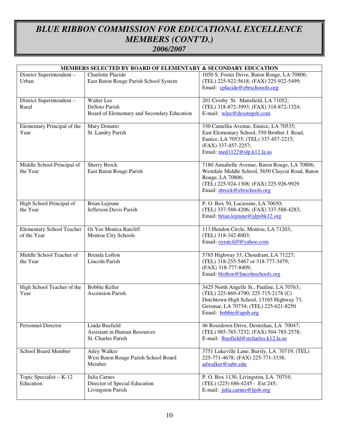## *BLUE RIBBON COMMISSION FOR EDUCATIONAL EXCELLENCE MEMBERS (CONT'D.) 2006/2007*

| MEMBERS SELECTED BY BOARD OF ELEMENTARY & SECONDARY EDUCATION |                                                                             |                                                                                                                                                                                                   |  |  |  |
|---------------------------------------------------------------|-----------------------------------------------------------------------------|---------------------------------------------------------------------------------------------------------------------------------------------------------------------------------------------------|--|--|--|
| District Superintendent -<br>Urban                            | Charlotte Placide<br>East Baton Rouge Parish School System                  | 1050 S. Foster Drive, Baton Rouge, LA 70806;<br>(TEL) 225-922-5618; (FAX) 225-922-5499;<br>Email: cplacide@ebrschoools.org                                                                        |  |  |  |
| District Superintendent -<br>Rural                            | Walter Lee<br>DeSoto Parish<br>Board of Elementary and Secondary Education  | 201 Crosby St. Mansfield, LA 71052;<br>(TEL) 318-872-3993; (FAX) 318-872-1324;<br>E-mail: wlee@desotopsb.com                                                                                      |  |  |  |
| Elementary Principal of the<br>Year                           | Mary Donatto<br>St. Landry Parish                                           | 330 Camellia Avenue, Eunice, LA 70535;<br>East Elementary School, 550 Brother J. Road,<br>Eunice, LA 70535; (TEL) 337-457-2215;<br>(FAX) 337-457-2257;<br>Email: med1122@slp.k12.la.us            |  |  |  |
| Middle School Principal of<br>the Year                        | <b>Sherry Brock</b><br>East Baton Rouge Parish                              | 7180 Annabelle Avenue, Baton Rouge, LA 70806;<br>Westdale Middle School, 5650 Claycut Road, Baton<br>Rouge, LA 70806;<br>(TEL) 225-924-1308; (FAX) 225-926-9929<br>Email: sbrock@ebrschools.org   |  |  |  |
| High School Principal of<br>the Year                          | <b>Brian Lejeune</b><br>Jefferson Davis Parish                              | P. O. Box 50, Lacassine, LA 70650;<br>(TEL) 337-588-4206; (FAX) 337-588-4283;<br>Email: brian.lejeune@jdpsbk12.org                                                                                |  |  |  |
| <b>Elementary School Teacher</b><br>of the Year               | Oi Yee Monica Ratcliff<br>Monroe City Schools                               | 113 Hendon Circle, Monroe, LA 71203;<br>(TEL) 318-342-8003;<br>Email: oyratcliff@yahoo.com                                                                                                        |  |  |  |
| Middle School Teacher of<br>the Year                          | <b>Brenda</b> Lofton<br>Lincoln Parish                                      | 5785 Highway 33, Choudrant, LA 71227;<br>(TEL) 318-255-5467 or 318-777-3479;<br>(FAX) 318-777-8409;<br>Email: blofton@lincolnschools.org                                                          |  |  |  |
| High School Teacher of the<br>Year                            | <b>Bobbie Keller</b><br><b>Ascension Parish</b>                             | 3425 North Angelle St., Pauline, LA 70763;<br>(TEL) 225-869-4790; 225-715-2178 (C)<br>Dutchtown High School, 13165 Highway 73,<br>Geismar, LA 70734; (TEL) 225-621-8250<br>Email: bobbie@apsb.org |  |  |  |
| Personnel Director                                            | Linda Busfield<br><b>Assistant in Human Resources</b><br>St. Charles Parish | 46 Rosedown Drive, Destrehan, LA 70047;<br>(TEL) 985-785-7232; (FAX) 504-785-2578;<br>E-mail: <i>lbusfield@stcharles.k12.la.us</i>                                                                |  |  |  |
| School Board Member                                           | <b>Atley Walker</b><br>West Baton Rouge Parish School Board<br>Member       | 3751 Lukeville Lane; Bursly, LA 70719; (TEL)<br>225-771-4678; (FAX) 225-771-3338;<br>adwalker@subr.edu                                                                                            |  |  |  |
| Topic Specialist $-K-12$<br>Education                         | Julia Carnes<br>Director of Special Education<br>Livingston Parish          | P. O. Box 1130, Livingston, LA 70754;<br>(TEL) (225) 686-4245 - Ext 245;<br>E-mail: julia.carnes@lpsb.org                                                                                         |  |  |  |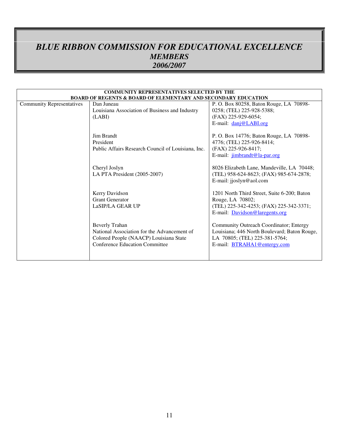## *BLUE RIBBON COMMISSION FOR EDUCATIONAL EXCELLENCE MEMBERS 2006/2007*

| <b>COMMUNITY REPRESENTATIVES SELECTED BY THE</b>                          |                                                    |                                              |  |  |  |
|---------------------------------------------------------------------------|----------------------------------------------------|----------------------------------------------|--|--|--|
| <b>BOARD OF REGENTS &amp; BOARD OF ELEMENTARY AND SECONDARY EDUCATION</b> |                                                    |                                              |  |  |  |
| <b>Community Representatives</b>                                          | Dan Juneau                                         | P. O. Box 80258, Baton Rouge, LA 70898-      |  |  |  |
|                                                                           | Louisiana Association of Business and Industry     | 0258; (TEL) 225-928-5388;                    |  |  |  |
|                                                                           | (LABI)                                             | (FAX) 225-929-6054;                          |  |  |  |
|                                                                           |                                                    | E-mail: danj@LABI.org                        |  |  |  |
|                                                                           |                                                    |                                              |  |  |  |
|                                                                           | Jim Brandt                                         | P. O. Box 14776; Baton Rouge, LA 70898-      |  |  |  |
|                                                                           | President                                          | 4776; (TEL) 225-926-8414;                    |  |  |  |
|                                                                           | Public Affairs Research Council of Louisiana, Inc. | (FAX) 225-926-8417;                          |  |  |  |
|                                                                           |                                                    | E-mail: jimbrandt@la-par.org                 |  |  |  |
|                                                                           | Cheryl Joslyn                                      | 8026 Elizabeth Lane, Mandeville, LA 70448;   |  |  |  |
|                                                                           |                                                    |                                              |  |  |  |
|                                                                           | LA PTA President (2005-2007)                       | (TEL) 958-624-8623; (FAX) 985-674-2878;      |  |  |  |
|                                                                           |                                                    | E-mail: jjoslyn@aol.com                      |  |  |  |
|                                                                           | Kerry Davidson                                     | 1201 North Third Street, Suite 6-200; Baton  |  |  |  |
|                                                                           | <b>Grant Generator</b>                             | Rouge, LA 70802;                             |  |  |  |
|                                                                           | LaSIP/LA GEAR UP                                   | (TEL) 225-342-4253; (FAX) 225-342-3371;      |  |  |  |
|                                                                           |                                                    | E-mail: Davidson@laregents.org               |  |  |  |
|                                                                           |                                                    |                                              |  |  |  |
|                                                                           | <b>Beverly Trahan</b>                              | Community Outreach Coordinator; Entergy      |  |  |  |
|                                                                           | National Association for the Advancement of        | Louisiana; 446 North Boulevard; Baton Rouge, |  |  |  |
|                                                                           | Colored People (NAACP) Louisiana State             | LA 70805; (TEL) 225-381-5764;                |  |  |  |
|                                                                           | Conference Education Committee                     | E-mail: BTRAHA1@entergy.com                  |  |  |  |
|                                                                           |                                                    |                                              |  |  |  |
|                                                                           |                                                    |                                              |  |  |  |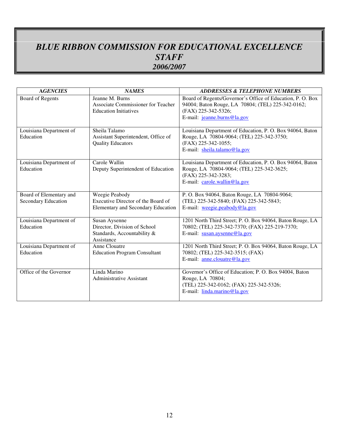# *BLUE RIBBON COMMISSION FOR EDUCATIONAL EXCELLENCE STAFF 2006/2007*

| <b>AGENCIES</b>                                | <b>NAMES</b>                                                                               | <b>ADDRESSES &amp; TELEPHONE NUMBERS</b>                                                                                                                              |
|------------------------------------------------|--------------------------------------------------------------------------------------------|-----------------------------------------------------------------------------------------------------------------------------------------------------------------------|
| <b>Board of Regents</b>                        | Jeanne M. Burns<br>Associate Commissioner for Teacher<br><b>Education Initiatives</b>      | Board of Regents/Governor's Office of Education, P. O. Box<br>94004; Baton Rouge, LA 70804; (TEL) 225-342-0162;<br>(FAX) 225-342-5326;<br>E-mail: jeanne.burns@la.gov |
| Louisiana Department of<br>Education           | Sheila Talamo<br>Assistant Superintendent, Office of<br><b>Quality Educators</b>           | Louisiana Department of Education, P. O. Box 94064, Baton<br>Rouge, LA 70804-9064; (TEL) 225-342-3750;<br>(FAX) 225-342-1055;<br>E-mail: sheila.talamo@la.gov         |
| Louisiana Department of<br>Education           | Carole Wallin<br>Deputy Superintendent of Education                                        | Louisiana Department of Education, P. O. Box 94064, Baton<br>Rouge, LA 70804-9064; (TEL) 225-342-3625;<br>(FAX) 225-342-3283;<br>E-mail: carole.wallin@la.gov         |
| Board of Elementary and<br>Secondary Education | Weegie Peabody<br>Executive Director of the Board of<br>Elementary and Secondary Education | P. O. Box 94064, Baton Rouge, LA 70804-9064;<br>(TEL) 225-342-5840; (FAX) 225-342-5843;<br>E-mail: weegie.peabody@la.gov                                              |
| Louisiana Department of<br>Education           | Susan Aysenne<br>Director, Division of School<br>Standards, Accountability &<br>Assistance | 1201 North Third Street; P. O. Box 94064, Baton Rouge, LA<br>70802; (TEL) 225-342-7370; (FAX) 225-219-7370;<br>E-mail: susan.aysenne@la.gov                           |
| Louisiana Department of<br>Education           | Anne Clouatre<br><b>Education Program Consultant</b>                                       | 1201 North Third Street; P. O. Box 94064, Baton Rouge, LA<br>70802; (TEL) 225-342-3515; (FAX)<br>E-mail: anne.clouatre@la.gov                                         |
| Office of the Governor                         | Linda Marino<br><b>Administrative Assistant</b>                                            | Governor's Office of Education; P. O. Box 94004, Baton<br>Rouge, LA 70804;<br>(TEL) 225-342-0162; (FAX) 225-342-5326;<br>E-mail: $linda.marino@la.gov$                |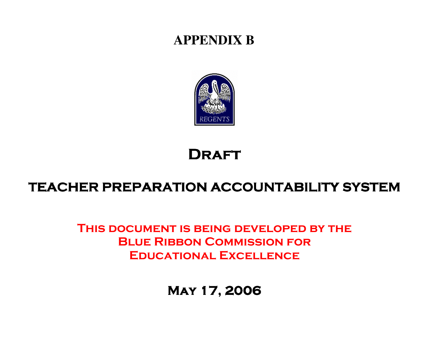# **APPENDIX B**



# **DRAFT**

# TEACHER PREPARATION ACCOUNTABILITY SYSTEM

# This document is being developed by the **BLUE RIBBON COMMISSION FOR** Educational Excellence

# May 17, 2006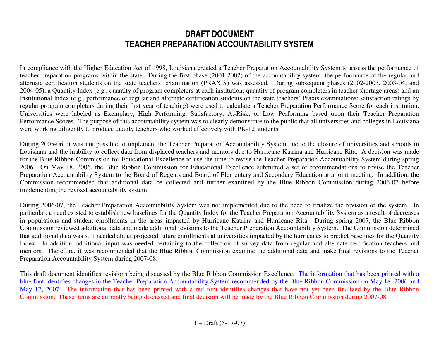# **DRAFT DOCUMENT TEACHER PREPARATION ACCOUNTABILITY SYSTEM**

In compliance with the Higher Education Act of 1998, Louisiana created a Teacher Preparation Accountability System to assess the performance of teacher preparation programs within the state. During the first phase (2001-2002) of the accountability system, the performance of the regular and alternate certification students on the state teachers' examination (PRAXIS) was assessed. During subsequent phases (2002-2003, 2003-04, and 2004-05), a Quantity Index (e.g., quantity of program completers at each institution; quantity of program completers in teacher shortage areas) and an Institutional Index (e.g., performance of regular and alternate certification students on the state teachers' Praxis examinations; satisfaction ratings by regular program completers during their first year of teaching) were used to calculate a Teacher Preparation Performance Score for each institution. Universities were labeled as Exemplary, High Performing, Satisfactory, At-Risk, or Low Performing based upon their Teacher Preparation Performance Scores. The purpose of this accountability system was to clearly demonstrate to the public that all universities and colleges in Louisiana were working diligently to produce quality teachers who worked effectively with PK-12 students.

During 2005-06, it was not possible to implement the Teacher Preparation Accountability System due to the closure of universities and schools in Louisiana and the inability to collect data from displaced teachers and mentors due to Hurricane Katrina and Hurricane Rita. A decision was made for the Blue Ribbon Commission for Educational Excellence to use the time to revise the Teacher Preparation Accountability System during spring 2006. On May 18, 2006, the Blue Ribbon Commission for Educational Excellence submitted a set of recommendations to revise the Teacher Preparation Accountability System to the Board of Regents and Board of Elementary and Secondary Education at a joint meeting. In addition, the Commission recommended that additional data be collected and further examined by the Blue Ribbon Commission during 2006-07 before implementing the revised accountability system.

During 2006-07, the Teacher Preparation Accountability System was not implemented due to the need to finalize the revision of the system. In particular, a need existed to establish new baselines for the Quantity Index for the Teacher Preparation Accountability System as a result of decreases in populations and student enrollments in the areas impacted by Hurricane Katrina and Hurricane Rita. During spring 2007, the Blue Ribbon Commission reviewed additional data and made additional revisions to the Teacher Preparation Accountability System. The Commission determined that additional data was still needed about projected future enrollments at universities impacted by the hurricanes to predict baselines for the Quantity Index. In addition, additional input was needed pertaining to the collection of survey data from regular and alternate certification teachers and mentors. Therefore, it was recommended that the Blue Ribbon Commission examine the additional data and make final revisions to the Teacher Preparation Accountability System during 2007-08.

This draft document identifies revisions being discussed by the Blue Ribbon Commission Excellence. The information that has been printed with a blue font identifies changes in the Teacher Preparation Accountability System recommended by the Blue Ribbon Commission on May 18, 2006 and May 17, 2007. The information that has been printed with a red font identifies changes that have not yet been finalized by the Blue Ribbon Commission. These items are currently being discussed and final decision will be made by the Blue Ribbon Commission during 2007-08.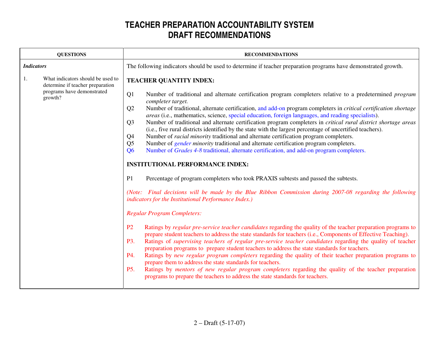|                   | <b>QUESTIONS</b>                                                                                               | <b>RECOMMENDATIONS</b>                                                                                                                                                                                                                                                                                                                                                                                                                                                                                                                                                                                                                                                                                                                                                                                                                                                                                                                                                                                                                                                                                                                                                                                                                                                                                                                                                                                                                                                                                                                                                                                                                                                                                                                                                                                                                                                                                                                                                                                                                                                                                                                                                                                                                                                        |  |  |
|-------------------|----------------------------------------------------------------------------------------------------------------|-------------------------------------------------------------------------------------------------------------------------------------------------------------------------------------------------------------------------------------------------------------------------------------------------------------------------------------------------------------------------------------------------------------------------------------------------------------------------------------------------------------------------------------------------------------------------------------------------------------------------------------------------------------------------------------------------------------------------------------------------------------------------------------------------------------------------------------------------------------------------------------------------------------------------------------------------------------------------------------------------------------------------------------------------------------------------------------------------------------------------------------------------------------------------------------------------------------------------------------------------------------------------------------------------------------------------------------------------------------------------------------------------------------------------------------------------------------------------------------------------------------------------------------------------------------------------------------------------------------------------------------------------------------------------------------------------------------------------------------------------------------------------------------------------------------------------------------------------------------------------------------------------------------------------------------------------------------------------------------------------------------------------------------------------------------------------------------------------------------------------------------------------------------------------------------------------------------------------------------------------------------------------------|--|--|
| <b>Indicators</b> |                                                                                                                | The following indicators should be used to determine if teacher preparation programs have demonstrated growth.                                                                                                                                                                                                                                                                                                                                                                                                                                                                                                                                                                                                                                                                                                                                                                                                                                                                                                                                                                                                                                                                                                                                                                                                                                                                                                                                                                                                                                                                                                                                                                                                                                                                                                                                                                                                                                                                                                                                                                                                                                                                                                                                                                |  |  |
| 1.                | What indicators should be used to<br>determine if teacher preparation<br>programs have demonstrated<br>growth? | <b>TEACHER QUANTITY INDEX:</b><br>Q1<br>Number of traditional and alternate certification program completers relative to a predetermined <i>program</i><br>completer target.<br>Number of traditional, alternate certification, and add-on program completers in <i>critical certification shortage</i><br>Q <sub>2</sub><br><i>areas</i> (i.e., mathematics, science, special education, foreign languages, and reading specialists).<br>Number of traditional and alternate certification program completers in critical rural district shortage areas<br>Q <sub>3</sub><br>(i.e., five rural districts identified by the state with the largest percentage of uncertified teachers).<br>Number of <i>racial minority</i> traditional and alternate certification program completers.<br>Q <sub>4</sub><br>Number of <i>gender minority</i> traditional and alternate certification program completers.<br>Q <sub>5</sub><br>Number of <i>Grades</i> 4-8 traditional, alternate certification, and add-on program completers.<br>Q <sub>6</sub><br><b>INSTITUTIONAL PERFORMANCE INDEX:</b><br>P1<br>Percentage of program completers who took PRAXIS subtests and passed the subtests.<br>(Note: Final decisions will be made by the Blue Ribbon Commission during 2007-08 regarding the following<br>indicators for the Institutional Performance Index.)<br><b>Regular Program Completers:</b><br>P <sub>2</sub><br>Ratings by regular pre-service teacher candidates regarding the quality of the teacher preparation programs to<br>prepare student teachers to address the state standards for teachers (i.e., Components of Effective Teaching).<br>P3.<br>Ratings of <i>supervising teachers of regular pre-service teacher candidates</i> regarding the quality of teacher<br>preparation programs to prepare student teachers to address the state standards for teachers.<br>P4.<br>Ratings by new regular program completers regarding the quality of their teacher preparation programs to<br>prepare them to address the state standards for teachers.<br>Ratings by mentors of new regular program completers regarding the quality of the teacher preparation<br><b>P5.</b><br>programs to prepare the teachers to address the state standards for teachers. |  |  |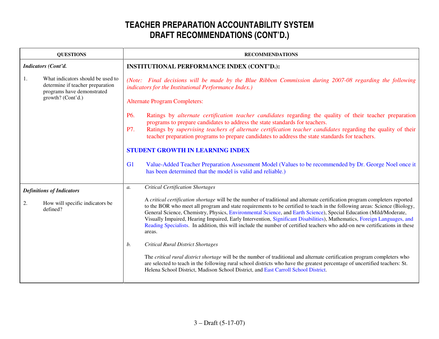| <b>QUESTIONS</b><br><b>RECOMMENDATIONS</b>                                                                                     |                                                                                                                                                                                                                                                                                                                                                                                                                                                                                                                                                                                                                                                                                                                                                                                                                                                                                                                                                                                                                                                                                                           |  |  |
|--------------------------------------------------------------------------------------------------------------------------------|-----------------------------------------------------------------------------------------------------------------------------------------------------------------------------------------------------------------------------------------------------------------------------------------------------------------------------------------------------------------------------------------------------------------------------------------------------------------------------------------------------------------------------------------------------------------------------------------------------------------------------------------------------------------------------------------------------------------------------------------------------------------------------------------------------------------------------------------------------------------------------------------------------------------------------------------------------------------------------------------------------------------------------------------------------------------------------------------------------------|--|--|
| Indicators (Cont'd.                                                                                                            | INSTITUTIONAL PERFORMANCE INDEX (CONT'D.):                                                                                                                                                                                                                                                                                                                                                                                                                                                                                                                                                                                                                                                                                                                                                                                                                                                                                                                                                                                                                                                                |  |  |
| What indicators should be used to<br>1.<br>determine if teacher preparation<br>programs have demonstrated<br>growth? (Cont'd.) | (Note: Final decisions will be made by the Blue Ribbon Commission during 2007-08 regarding the following<br>indicators for the Institutional Performance Index.)<br><b>Alternate Program Completers:</b>                                                                                                                                                                                                                                                                                                                                                                                                                                                                                                                                                                                                                                                                                                                                                                                                                                                                                                  |  |  |
|                                                                                                                                | P6.<br>Ratings by <i>alternate certification teacher candidates</i> regarding the quality of their teacher preparation<br>programs to prepare candidates to address the state standards for teachers.<br>P7.<br>Ratings by <i>supervising teachers of alternate certification teacher candidates</i> regarding the quality of their<br>teacher preparation programs to prepare candidates to address the state standards for teachers.<br><b>STUDENT GROWTH IN LEARNING INDEX</b><br>G <sub>1</sub><br>Value-Added Teacher Preparation Assessment Model (Values to be recommended by Dr. George Noel once it<br>has been determined that the model is valid and reliable.)                                                                                                                                                                                                                                                                                                                                                                                                                                |  |  |
| <b>Definitions of Indicators</b><br>How will specific indicators be<br>2.<br>defined?                                          | <b>Critical Certification Shortages</b><br>$a$ .<br>A critical certification shortage will be the number of traditional and alternate certification program completers reported<br>to the BOR who meet all program and state requirements to be certified to teach in the following areas: Science (Biology,<br>General Science, Chemistry, Physics, Environmental Science, and Earth Science), Special Education (Mild/Moderate,<br>Visually Impaired, Hearing Impaired, Early Intervention, Significant Disabilities), Mathematics, Foreign Languages, and<br>Reading Specialists. In addition, this will include the number of certified teachers who add-on new certifications in these<br>areas.<br>b.<br><b>Critical Rural District Shortages</b><br>The critical rural district shortage will be the number of traditional and alternate certification program completers who<br>are selected to teach in the following rural school districts who have the greatest percentage of uncertified teachers: St.<br>Helena School District, Madison School District, and East Carroll School District. |  |  |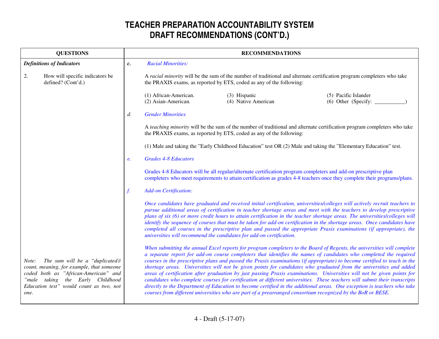| <b>QUESTIONS</b>                                                                                                                                                                                                       | <b>RECOMMENDATIONS</b> |                                                                                                                                                                                                                                                                                                                                                                                                                                                                                                                                                                                                                                                                                                                                                                                                                                                                                                                                                                                                  |                                                                      |                                                                                                                          |
|------------------------------------------------------------------------------------------------------------------------------------------------------------------------------------------------------------------------|------------------------|--------------------------------------------------------------------------------------------------------------------------------------------------------------------------------------------------------------------------------------------------------------------------------------------------------------------------------------------------------------------------------------------------------------------------------------------------------------------------------------------------------------------------------------------------------------------------------------------------------------------------------------------------------------------------------------------------------------------------------------------------------------------------------------------------------------------------------------------------------------------------------------------------------------------------------------------------------------------------------------------------|----------------------------------------------------------------------|--------------------------------------------------------------------------------------------------------------------------|
| <b>Definitions of Indicators</b>                                                                                                                                                                                       | $c$ .                  | <b>Racial Minorities:</b>                                                                                                                                                                                                                                                                                                                                                                                                                                                                                                                                                                                                                                                                                                                                                                                                                                                                                                                                                                        |                                                                      |                                                                                                                          |
| How will specific indicators be<br>2.<br>defined? (Cont'd.)                                                                                                                                                            |                        | A racial minority will be the sum of the number of traditional and alternate certification program completers who take<br>the PRAXIS exams, as reported by ETS, coded as any of the following:                                                                                                                                                                                                                                                                                                                                                                                                                                                                                                                                                                                                                                                                                                                                                                                                   |                                                                      |                                                                                                                          |
|                                                                                                                                                                                                                        |                        | (1) African-American.<br>(2) Asian-American.                                                                                                                                                                                                                                                                                                                                                                                                                                                                                                                                                                                                                                                                                                                                                                                                                                                                                                                                                     | (3) Hispanic<br>(4) Native American                                  | (5) Pacific Islander<br>(6) Other (Specify:                                                                              |
|                                                                                                                                                                                                                        | $d$ .                  | <b>Gender Minorities</b>                                                                                                                                                                                                                                                                                                                                                                                                                                                                                                                                                                                                                                                                                                                                                                                                                                                                                                                                                                         |                                                                      |                                                                                                                          |
|                                                                                                                                                                                                                        |                        |                                                                                                                                                                                                                                                                                                                                                                                                                                                                                                                                                                                                                                                                                                                                                                                                                                                                                                                                                                                                  | the PRAXIS exams, as reported by ETS, coded as any of the following: | A teaching minority will be the sum of the number of traditional and alternate certification program completers who take |
|                                                                                                                                                                                                                        |                        |                                                                                                                                                                                                                                                                                                                                                                                                                                                                                                                                                                                                                                                                                                                                                                                                                                                                                                                                                                                                  |                                                                      | (1) Male and taking the "Early Childhood Education" test OR (2) Male and taking the "Elementary Education" test.         |
|                                                                                                                                                                                                                        | е.                     | <b>Grades 4-8 Educators</b>                                                                                                                                                                                                                                                                                                                                                                                                                                                                                                                                                                                                                                                                                                                                                                                                                                                                                                                                                                      |                                                                      |                                                                                                                          |
|                                                                                                                                                                                                                        |                        | Grades 4-8 Educators will be all regular/alternate certification program completers and add-on prescriptive plan<br>completers who meet requirements to attain certification as grades 4-8 teachers once they complete their programs/plans.                                                                                                                                                                                                                                                                                                                                                                                                                                                                                                                                                                                                                                                                                                                                                     |                                                                      |                                                                                                                          |
|                                                                                                                                                                                                                        |                        | <b>Add-on Certification:</b>                                                                                                                                                                                                                                                                                                                                                                                                                                                                                                                                                                                                                                                                                                                                                                                                                                                                                                                                                                     |                                                                      |                                                                                                                          |
|                                                                                                                                                                                                                        |                        | Once candidates have graduated and received initial certification, universities/colleges will actively recruit teachers to<br>pursue additional areas of certification in teacher shortage areas and meet with the teachers to develop prescriptive<br>plans of six (6) or more credit hours to attain certification in the teacher shortage areas. The universities/colleges will<br>identify the sequence of courses that must be taken for add-on certification in the shortage areas. Once candidates have<br>completed all courses in the prescriptive plan and passed the appropriate Praxis examinations (if appropriate), the<br>universities will recommend the candidates for add-on certification.                                                                                                                                                                                                                                                                                    |                                                                      |                                                                                                                          |
| The sum will be a "duplicated@<br>Note:<br>count, meaning, for example, that someone<br>coded both as "African-American" and<br>"male taking<br>the Early Childhood<br>Education test" would count as two, not<br>one. |                        | When submitting the annual Excel reports for program completers to the Board of Regents, the universities will complete<br>a separate report for add-on course completers that identifies the names of candidates who completed the required<br>courses in the prescriptive plans and passed the Praxis examinations (if appropriate) to become certified to teach in the<br>shortage areas. Universities will not be given points for candidates who graduated from the universities and added<br>areas of certification after graduation by just passing Praxis examinations. Universities will not be given points for<br>candidates who complete courses for certification at different universities. These teachers will submit their transcripts<br>directly to the Department of Education to become certified in the additional areas. One exception is teachers who take<br>courses from different universities who are part of a prearranged consortium recognized by the BoR or BESE. |                                                                      |                                                                                                                          |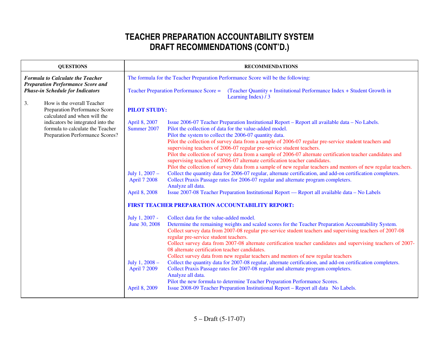| <b>QUESTIONS</b>                                                                                         | <b>RECOMMENDATIONS</b>                                                                                                                                                                                                                                                                                                                                                                                                                                                                                                                                                                                                                                                                                                                                                                                                                                                                                                                                                                                                                                |  |  |  |
|----------------------------------------------------------------------------------------------------------|-------------------------------------------------------------------------------------------------------------------------------------------------------------------------------------------------------------------------------------------------------------------------------------------------------------------------------------------------------------------------------------------------------------------------------------------------------------------------------------------------------------------------------------------------------------------------------------------------------------------------------------------------------------------------------------------------------------------------------------------------------------------------------------------------------------------------------------------------------------------------------------------------------------------------------------------------------------------------------------------------------------------------------------------------------|--|--|--|
| <b>Formula to Calculate the Teacher</b>                                                                  | The formula for the Teacher Preparation Performance Score will be the following:                                                                                                                                                                                                                                                                                                                                                                                                                                                                                                                                                                                                                                                                                                                                                                                                                                                                                                                                                                      |  |  |  |
| <b>Preparation Performance Score and</b><br><b>Phase-in Schedule for Indicators</b>                      | Teacher Preparation Performance Score =<br>(Teacher Quantity + Institutional Performance Index + Student Growth in<br>Learning Index) / 3                                                                                                                                                                                                                                                                                                                                                                                                                                                                                                                                                                                                                                                                                                                                                                                                                                                                                                             |  |  |  |
| How is the overall Teacher<br>3.<br>Preparation Performance Score<br>calculated and when will the        | <b>PILOT STUDY:</b>                                                                                                                                                                                                                                                                                                                                                                                                                                                                                                                                                                                                                                                                                                                                                                                                                                                                                                                                                                                                                                   |  |  |  |
| indicators be integrated into the<br>formula to calculate the Teacher<br>Preparation Performance Scores? | April 8, 2007<br>Issue 2006-07 Teacher Preparation Institutional Report – Report all available data – No Labels.<br>Summer 2007<br>Pilot the collection of data for the value-added model.<br>Pilot the system to collect the 2006-07 quantity data.                                                                                                                                                                                                                                                                                                                                                                                                                                                                                                                                                                                                                                                                                                                                                                                                  |  |  |  |
|                                                                                                          | Pilot the collection of survey data from a sample of 2006-07 regular pre-service student teachers and<br>supervising teachers of 2006-07 regular pre-service student teachers.<br>Pilot the collection of survey data from a sample of 2006-07 alternate certification teacher candidates and                                                                                                                                                                                                                                                                                                                                                                                                                                                                                                                                                                                                                                                                                                                                                         |  |  |  |
|                                                                                                          | supervising teachers of 2006-07 alternate certification teacher candidates.<br>Pilot the collection of survey data from a sample of new regular teachers and mentors of new regular teachers.                                                                                                                                                                                                                                                                                                                                                                                                                                                                                                                                                                                                                                                                                                                                                                                                                                                         |  |  |  |
|                                                                                                          | Collect the quantity data for 2006-07 regular, alternate certification, and add-on certification completers.<br>July 1, 2007 -<br>Collect Praxis Passage rates for 2006-07 regular and alternate program completers.<br><b>April 7 2008</b><br>Analyze all data.                                                                                                                                                                                                                                                                                                                                                                                                                                                                                                                                                                                                                                                                                                                                                                                      |  |  |  |
|                                                                                                          | April 8, 2008<br>Issue 2007-08 Teacher Preparation Institutional Report - Report all available data - No Labels                                                                                                                                                                                                                                                                                                                                                                                                                                                                                                                                                                                                                                                                                                                                                                                                                                                                                                                                       |  |  |  |
|                                                                                                          | FIRST TEACHER PREPARATION ACCOUNTABILITY REPORT:                                                                                                                                                                                                                                                                                                                                                                                                                                                                                                                                                                                                                                                                                                                                                                                                                                                                                                                                                                                                      |  |  |  |
|                                                                                                          | July 1, 2007 -<br>Collect data for the value-added model.<br>Determine the remaining weights and scaled scores for the Teacher Preparation Accountability System.<br>June 30, 2008<br>Collect survey data from 2007-08 regular pre-service student teachers and supervising teachers of 2007-08<br>regular pre-service student teachers.<br>Collect survey data from 2007-08 alternate certification teacher candidates and supervising teachers of 2007-<br>08 alternate certification teacher candidates.<br>Collect survey data from new regular teachers and mentors of new regular teachers<br>Collect the quantity data for 2007-08 regular, alternate certification, and add-on certification completers.<br>July 1, $2008 -$<br>Collect Praxis Passage rates for 2007-08 regular and alternate program completers.<br>April 7 2009<br>Analyze all data.<br>Pilot the new formula to determine Teacher Preparation Performance Scores.<br>Issue 2008-09 Teacher Preparation Institutional Report - Report all data No Labels.<br>April 8, 2009 |  |  |  |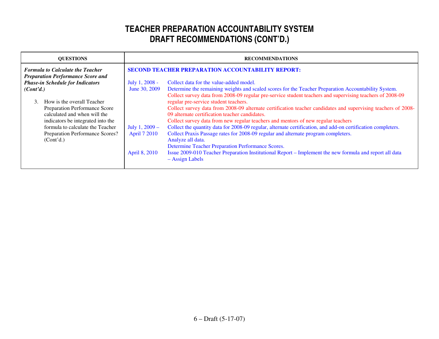| <b>OUESTIONS</b>                         | <b>RECOMMENDATIONS</b>                                   |                                                                                                               |  |
|------------------------------------------|----------------------------------------------------------|---------------------------------------------------------------------------------------------------------------|--|
| <b>Formula to Calculate the Teacher</b>  | <b>SECOND TEACHER PREPARATION ACCOUNTABILITY REPORT:</b> |                                                                                                               |  |
| <b>Preparation Performance Score and</b> |                                                          |                                                                                                               |  |
| <b>Phase-in Schedule for Indicators</b>  | July 1, 2008 -                                           | Collect data for the value-added model.                                                                       |  |
| (Cont <sup>2</sup> d.)                   | June 30, 2009                                            | Determine the remaining weights and scaled scores for the Teacher Preparation Accountability System.          |  |
|                                          |                                                          | Collect survey data from 2008-09 regular pre-service student teachers and supervising teachers of 2008-09     |  |
| How is the overall Teacher<br>3          |                                                          | regular pre-service student teachers.                                                                         |  |
| Preparation Performance Score            |                                                          | Collect survey data from 2008-09 alternate certification teacher candidates and supervising teachers of 2008- |  |
| calculated and when will the             |                                                          | 09 alternate certification teacher candidates.                                                                |  |
| indicators be integrated into the        |                                                          | Collect survey data from new regular teachers and mentors of new regular teachers                             |  |
| formula to calculate the Teacher         | July 1, 2009 -                                           | Collect the quantity data for 2008-09 regular, alternate certification, and add-on certification completers.  |  |
| Preparation Performance Scores?          | <b>April 7 2010</b>                                      | Collect Praxis Passage rates for 2008-09 regular and alternate program completers.                            |  |
| (Cont <sup>2</sup> d.)                   |                                                          | Analyze all data.                                                                                             |  |
|                                          |                                                          | Determine Teacher Preparation Performance Scores.                                                             |  |
|                                          | April 8, 2010                                            | Issue 2009-010 Teacher Preparation Institutional Report – Implement the new formula and report all data       |  |
|                                          |                                                          | $-$ Assign Labels                                                                                             |  |
|                                          |                                                          |                                                                                                               |  |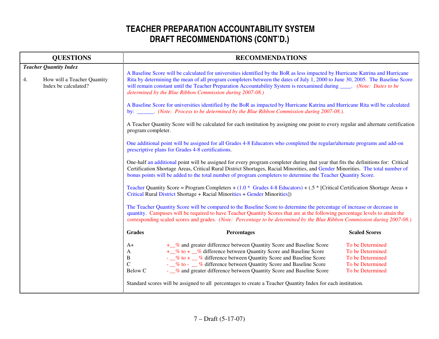|    | <b>QUESTIONS</b>                                                                     | <b>RECOMMENDATIONS</b>                                                                                                                                                                                                                                                                                                                                                                                                                                                                                                                                                                                                                                                                                                                                                                                                                                  |                                                                                                                                                                                                                                                                                                                                                                                                                                                                         |                                                                                                  |
|----|--------------------------------------------------------------------------------------|---------------------------------------------------------------------------------------------------------------------------------------------------------------------------------------------------------------------------------------------------------------------------------------------------------------------------------------------------------------------------------------------------------------------------------------------------------------------------------------------------------------------------------------------------------------------------------------------------------------------------------------------------------------------------------------------------------------------------------------------------------------------------------------------------------------------------------------------------------|-------------------------------------------------------------------------------------------------------------------------------------------------------------------------------------------------------------------------------------------------------------------------------------------------------------------------------------------------------------------------------------------------------------------------------------------------------------------------|--------------------------------------------------------------------------------------------------|
| 4. | <b>Teacher Quantity Index</b><br>How will a Teacher Quantity<br>Index be calculated? | A Baseline Score will be calculated for universities identified by the BoR as less impacted by Hurricane Katrina and Hurricane<br>Rita by determining the mean of all program completers between the dates of July 1, 2000 to June 30, 2005. The Baseline Score<br>will remain constant until the Teacher Preparation Accountability System is reexamined during _____. (Note: Dates to be<br>determined by the Blue Ribbon Commission during 2007-08.)<br>A Baseline Score for universities identified by the BoR as impacted by Hurricane Katrina and Hurricane Rita will be calculated<br>by: _______. (Note: Process to be determined by the Blue Ribbon Commission during 2007-08.).<br>A Teacher Quantity Score will be calculated for each institution by assigning one point to every regular and alternate certification<br>program completer. |                                                                                                                                                                                                                                                                                                                                                                                                                                                                         |                                                                                                  |
|    |                                                                                      | One additional point will be assigned for all Grades 4-8 Educators who completed the regular/alternate programs and add-on<br>prescriptive plans for Grades 4-8 certifications.<br>One-half an additional point will be assigned for every program completer during that year that fits the definitions for: Critical<br>Certification Shortage Areas, Critical Rural District Shortages, Racial Minorities, and Gender Minorities. The total number of<br>bonus points will be added to the total number of program completers to determine the Teacher Quantity Score.<br>Teacher Quantity Score = Program Completers + (1.0 * Grades 4-8 Educators) + (.5 * [Critical Certification Shortage Areas +<br>Critical Rural District Shortage + Racial Minorities + Gender Minorities])                                                                   |                                                                                                                                                                                                                                                                                                                                                                                                                                                                         |                                                                                                  |
|    |                                                                                      | The Teacher Quantity Score will be compared to the Baseline Score to determine the percentage of increase or decrease in<br>quantity. Campuses will be required to have Teacher Quantity Scores that are at the following percentage levels to attain the<br>corresponding scaled scores and grades. (Note: Percentage to be determined by the Blue Ribbon Commission during 2007-08.)                                                                                                                                                                                                                                                                                                                                                                                                                                                                  |                                                                                                                                                                                                                                                                                                                                                                                                                                                                         |                                                                                                  |
|    |                                                                                      | <b>Grades</b>                                                                                                                                                                                                                                                                                                                                                                                                                                                                                                                                                                                                                                                                                                                                                                                                                                           | Percentages                                                                                                                                                                                                                                                                                                                                                                                                                                                             | <b>Scaled Scores</b>                                                                             |
|    |                                                                                      | $A+$<br>A<br>B<br>$\mathbf C$<br>Below C                                                                                                                                                                                                                                                                                                                                                                                                                                                                                                                                                                                                                                                                                                                                                                                                                | + % and greater difference between Quantity Score and Baseline Score<br>+ % to + % difference between Quantity Score and Baseline Score<br>- % to + \ % difference between Quantity Score and Baseline Score<br>- % to - % difference between Quantity Score and Baseline Score<br>- % and greater difference between Quantity Score and Baseline Score<br>Standard scores will be assigned to all percentages to create a Teacher Quantity Index for each institution. | To be Determined<br>To be Determined<br>To be Determined<br>To be Determined<br>To be Determined |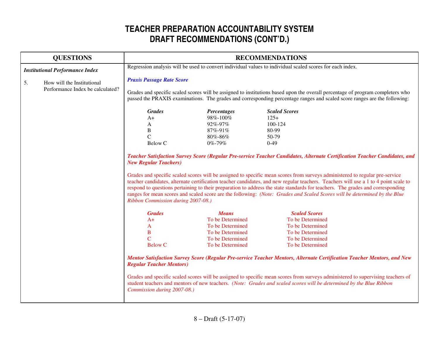|    | <b>QUESTIONS</b>                       | <b>RECOMMENDATIONS</b>                                                                                                                                                                                                                                                                                                                                                                                                                                                                                                                                                  |                    |                                                                                                                                                                                                                                                            |  |
|----|----------------------------------------|-------------------------------------------------------------------------------------------------------------------------------------------------------------------------------------------------------------------------------------------------------------------------------------------------------------------------------------------------------------------------------------------------------------------------------------------------------------------------------------------------------------------------------------------------------------------------|--------------------|------------------------------------------------------------------------------------------------------------------------------------------------------------------------------------------------------------------------------------------------------------|--|
|    | <b>Institutional Performance Index</b> | Regression analysis will be used to convert individual values to individual scaled scores for each index.                                                                                                                                                                                                                                                                                                                                                                                                                                                               |                    |                                                                                                                                                                                                                                                            |  |
| 5. | How will the Institutional             | <b>Praxis Passage Rate Score</b><br>Grades and specific scaled scores will be assigned to institutions based upon the overall percentage of program completers who<br>passed the PRAXIS examinations. The grades and corresponding percentage ranges and scaled score ranges are the following:                                                                                                                                                                                                                                                                         |                    |                                                                                                                                                                                                                                                            |  |
|    | Performance Index be calculated?       |                                                                                                                                                                                                                                                                                                                                                                                                                                                                                                                                                                         |                    |                                                                                                                                                                                                                                                            |  |
|    |                                        | <b>Grades</b>                                                                                                                                                                                                                                                                                                                                                                                                                                                                                                                                                           | <b>Percentages</b> | <b>Scaled Scores</b>                                                                                                                                                                                                                                       |  |
|    |                                        | $A+$                                                                                                                                                                                                                                                                                                                                                                                                                                                                                                                                                                    | 98%-100%           | $125+$                                                                                                                                                                                                                                                     |  |
|    |                                        | A                                                                                                                                                                                                                                                                                                                                                                                                                                                                                                                                                                       | 92%-97%            | $100 - 124$                                                                                                                                                                                                                                                |  |
|    |                                        | $\, {\bf B}$                                                                                                                                                                                                                                                                                                                                                                                                                                                                                                                                                            | 87%-91%            | 80-99                                                                                                                                                                                                                                                      |  |
|    |                                        | $\mathcal{C}$                                                                                                                                                                                                                                                                                                                                                                                                                                                                                                                                                           | 80%-86%            | 50-79                                                                                                                                                                                                                                                      |  |
|    |                                        | Below C                                                                                                                                                                                                                                                                                                                                                                                                                                                                                                                                                                 | 0%-79%             | $0 - 49$                                                                                                                                                                                                                                                   |  |
|    |                                        | Grades and specific scaled scores will be assigned to specific mean scores from surveys administered to regular pre-service<br>teacher candidates, alternate certification teacher candidates, and new regular teachers. Teachers will use a 1 to 4 point scale to<br>respond to questions pertaining to their preparation to address the state standards for teachers. The grades and corresponding<br>ranges for mean scores and scaled score are the following: (Note: Grades and Scaled Scores will be determined by the Blue<br>Ribbon Commission during 2007-08.) |                    |                                                                                                                                                                                                                                                            |  |
|    |                                        | <b>Grades</b>                                                                                                                                                                                                                                                                                                                                                                                                                                                                                                                                                           | <b>Means</b>       | <b>Scaled Scores</b>                                                                                                                                                                                                                                       |  |
|    |                                        | $A+$                                                                                                                                                                                                                                                                                                                                                                                                                                                                                                                                                                    | To be Determined   | To be Determined                                                                                                                                                                                                                                           |  |
|    |                                        | A                                                                                                                                                                                                                                                                                                                                                                                                                                                                                                                                                                       | To be Determined   | To be Determined                                                                                                                                                                                                                                           |  |
|    |                                        | $\, {\bf B}$                                                                                                                                                                                                                                                                                                                                                                                                                                                                                                                                                            | To be Determined   | To be Determined                                                                                                                                                                                                                                           |  |
|    |                                        | $\overline{C}$                                                                                                                                                                                                                                                                                                                                                                                                                                                                                                                                                          | To be Determined   | To be Determined                                                                                                                                                                                                                                           |  |
|    |                                        | <b>Below C</b>                                                                                                                                                                                                                                                                                                                                                                                                                                                                                                                                                          | To be Determined   | To be Determined                                                                                                                                                                                                                                           |  |
|    |                                        | <b>Regular Teacher Mentors)</b>                                                                                                                                                                                                                                                                                                                                                                                                                                                                                                                                         |                    | Mentor Satisfaction Survey Score (Regular Pre-service Teacher Mentors, Alternate Certification Teacher Mentors, and New<br>Grades and specific scaled scores will be assigned to specific mean scores from surveys administered to supervising teachers of |  |
|    |                                        | Commission during 2007-08.)                                                                                                                                                                                                                                                                                                                                                                                                                                                                                                                                             |                    | student teachers and mentors of new teachers. (Note: Grades and scaled scores will be determined by the Blue Ribbon                                                                                                                                        |  |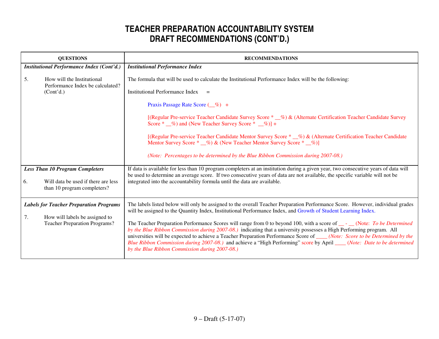| <b>QUESTIONS</b>                                                                       | <b>RECOMMENDATIONS</b>                                                                                                                                                                                                                                                                                                                                                                                                                                                                                                                                         |
|----------------------------------------------------------------------------------------|----------------------------------------------------------------------------------------------------------------------------------------------------------------------------------------------------------------------------------------------------------------------------------------------------------------------------------------------------------------------------------------------------------------------------------------------------------------------------------------------------------------------------------------------------------------|
| <b>Institutional Performance Index (Cont'd.)</b>                                       | <b>Institutional Performance Index</b>                                                                                                                                                                                                                                                                                                                                                                                                                                                                                                                         |
| 5.<br>How will the Institutional<br>Performance Index be calculated?                   | The formula that will be used to calculate the Institutional Performance Index will be the following:                                                                                                                                                                                                                                                                                                                                                                                                                                                          |
| (Cont <sup>2</sup> d.)                                                                 | Institutional Performance Index                                                                                                                                                                                                                                                                                                                                                                                                                                                                                                                                |
|                                                                                        | Praxis Passage Rate Score (1%) +                                                                                                                                                                                                                                                                                                                                                                                                                                                                                                                               |
|                                                                                        | [(Regular Pre-service Teacher Candidate Survey Score * 6.6) & (Alternate Certification Teacher Candidate Survey<br>Score $*$ $\_\%$ ) and (New Teacher Survey Score $*$ $\_\%$ )] +                                                                                                                                                                                                                                                                                                                                                                            |
|                                                                                        | [(Regular Pre-service Teacher Candidate Mentor Survey Score * 6%) & (Alternate Certification Teacher Candidate<br>Mentor Survey Score * _%) & (New Teacher Mentor Survey Score * _%)]                                                                                                                                                                                                                                                                                                                                                                          |
|                                                                                        | (Note: Percentages to be determined by the Blue Ribbon Commission during 2007-08.)                                                                                                                                                                                                                                                                                                                                                                                                                                                                             |
| <b>Less Than 10 Program Completers</b>                                                 | If data is available for less than 10 program completers at an institution during a given year, two consecutive years of data will<br>be used to determine an average score. If two consecutive years of data are not available, the specific variable will not be                                                                                                                                                                                                                                                                                             |
| Will data be used if there are less<br>6.<br>than 10 program completers?               | integrated into the accountability formula until the data are available.                                                                                                                                                                                                                                                                                                                                                                                                                                                                                       |
| <b>Labels for Teacher Preparation Programs</b><br>How will labels be assigned to<br>7. | The labels listed below will only be assigned to the overall Teacher Preparation Performance Score. However, individual grades<br>will be assigned to the Quantity Index, Institutional Performance Index, and Growth of Student Learning Index.                                                                                                                                                                                                                                                                                                               |
| <b>Teacher Preparation Programs?</b>                                                   | The Teacher Preparation Performance Scores will range from 0 to beyond 100, with a score of __- __ (Note: To be Determined<br>by the Blue Ribbon Commission during 2007-08.) indicating that a university possesses a High Performing program. All<br>universities will be expected to achieve a Teacher Preparation Performance Score of ____(Note: Score to be Determined by the<br>Blue Ribbon Commission during 2007-08.) and achieve a "High Performing" score by April ___(Note: Date to be determined<br>by the Blue Ribbon Commission during 2007-08.) |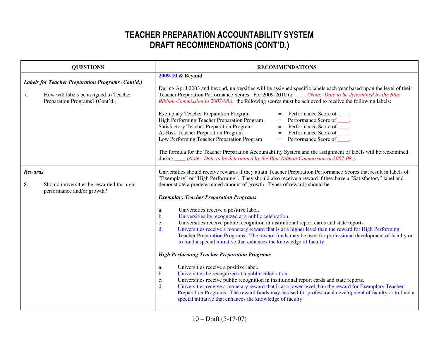|                      | <b>QUESTIONS</b>                                                                                                               | <b>RECOMMENDATIONS</b>                                                                                                                                                                                                                                                                                                                                                                                                                                                                                                                                                                                                                                                                                                                                                                                                                                                                                                                                                                                                                                                                                                                                                                                                                                                                                                                                                                                                                                                                  |
|----------------------|--------------------------------------------------------------------------------------------------------------------------------|-----------------------------------------------------------------------------------------------------------------------------------------------------------------------------------------------------------------------------------------------------------------------------------------------------------------------------------------------------------------------------------------------------------------------------------------------------------------------------------------------------------------------------------------------------------------------------------------------------------------------------------------------------------------------------------------------------------------------------------------------------------------------------------------------------------------------------------------------------------------------------------------------------------------------------------------------------------------------------------------------------------------------------------------------------------------------------------------------------------------------------------------------------------------------------------------------------------------------------------------------------------------------------------------------------------------------------------------------------------------------------------------------------------------------------------------------------------------------------------------|
| 7.                   | Labels for Teacher Preparation Programs (Cont'd.)<br>How will labels be assigned to Teacher<br>Preparation Programs? (Cont'd.) | 2009-10 & Beyond<br>During April 2003 and beyond, universities will be assigned specific labels each year based upon the level of their<br>Teacher Preparation Performance Scores. For 2009-2010 to _____ (Note: Date to be determined by the Blue<br>Ribbon Commission in 2007-08.), the following scores must be achieved to receive the following labels:<br><b>Exemplary Teacher Preparation Program</b><br>Performance Score of _____.<br>$\equiv$<br>Performance Score of _____.<br>High Performing Teacher Preparation Program<br>$=$<br>Performance Score of _____.<br><b>Satisfactory Teacher Preparation Program</b><br>$=$<br>Performance Score of _____.<br>At-Risk Teacher Preparation Program<br>$\equiv$<br>Low Performing Teacher Preparation Program<br>Performance Score of .<br>$=$<br>The formula for the Teacher Preparation Accountability System and the assignment of labels will be reexamined<br>during _____ (Note: Date to be determined by the Blue Ribbon Commission in 2007-08.)                                                                                                                                                                                                                                                                                                                                                                                                                                                                         |
| <b>Rewards</b><br>8. | Should universities be rewarded for high<br>performance and/or growth?                                                         | Universities should receive rewards if they attain Teacher Preparation Performance Scores that result in labels of<br>"Exemplary" or "High Performing". They should also receive a reward if they have a "Satisfactory" label and<br>demonstrate a predetermined amount of growth. Types of rewards should be:<br><b>Exemplary Teacher Preparation Programs</b><br>Universities receive a positive label.<br>a.<br>Universities be recognized at a public celebration.<br>$\mathbf{b}$ .<br>Universities receive public recognition in institutional report cards and state reports.<br>c.<br>Universities receive a monetary reward that is at a higher level than the reward for High Performing<br>$d_{\cdot}$<br>Teacher Preparation Programs. The reward funds may be used for professional development of faculty or<br>to fund a special initiative that enhances the knowledge of faculty.<br><b>High Performing Teacher Preparation Programs</b><br>Universities receive a positive label.<br>a.<br>Universities be recognized at a public celebration.<br>$\mathbf b$ .<br>Universities receive public recognition in institutional report cards and state reports.<br>c.<br>Universities receive a monetary reward that is at a lower level than the reward for Exemplary Teacher<br>$\mathbf{d}$ .<br>Preparation Programs. The reward funds may be used for professional development of faculty or to fund a<br>special initiative that enhances the knowledge of faculty. |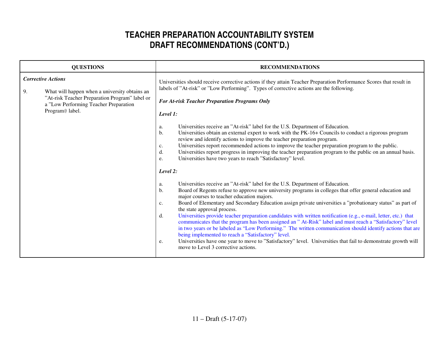| <b>QUESTIONS</b>                |                                                                                                                                                             | <b>RECOMMENDATIONS</b>                                                                                                                                                                                                                                                                                                                                                                                                                                                                                                                                                                                                                                                                                                                                                                                                                                                                                                                                                                                                                                                                                                                                                                                                                                                                                                                                                                                                                                                                                                                                                                                                                                                                                                                                                                                                                                              |
|---------------------------------|-------------------------------------------------------------------------------------------------------------------------------------------------------------|---------------------------------------------------------------------------------------------------------------------------------------------------------------------------------------------------------------------------------------------------------------------------------------------------------------------------------------------------------------------------------------------------------------------------------------------------------------------------------------------------------------------------------------------------------------------------------------------------------------------------------------------------------------------------------------------------------------------------------------------------------------------------------------------------------------------------------------------------------------------------------------------------------------------------------------------------------------------------------------------------------------------------------------------------------------------------------------------------------------------------------------------------------------------------------------------------------------------------------------------------------------------------------------------------------------------------------------------------------------------------------------------------------------------------------------------------------------------------------------------------------------------------------------------------------------------------------------------------------------------------------------------------------------------------------------------------------------------------------------------------------------------------------------------------------------------------------------------------------------------|
| <b>Corrective Actions</b><br>9. | What will happen when a university obtains an<br>"At-risk Teacher Preparation Program" label or<br>a "Low Performing Teacher Preparation<br>Program@ label. | Universities should receive corrective actions if they attain Teacher Preparation Performance Scores that result in<br>labels of "At-risk" or "Low Performing". Types of corrective actions are the following.<br><b>For At-risk Teacher Preparation Programs Only</b><br>Level 1:<br>Universities receive an "At-risk" label for the U.S. Department of Education.<br>a.<br>Universities obtain an external expert to work with the PK-16+ Councils to conduct a rigorous program<br>b.<br>review and identify actions to improve the teacher preparation program.<br>Universities report recommended actions to improve the teacher preparation program to the public.<br>c.<br>Universities report progress in improving the teacher preparation program to the public on an annual basis.<br>d.<br>Universities have two years to reach "Satisfactory" level.<br>e.<br>Level 2:<br>Universities receive an "At-risk" label for the U.S. Department of Education.<br>a.<br>Board of Regents refuse to approve new university programs in colleges that offer general education and<br>b.<br>major courses to teacher education majors.<br>Board of Elementary and Secondary Education assign private universities a "probationary status" as part of<br>c.<br>the state approval process.<br>Universities provide teacher preparation candidates with written notification (e.g., e-mail, letter, etc.) that<br>d.<br>communicates that the program has been assigned an "At-Risk" label and must reach a "Satisfactory" level<br>in two years or be labeled as "Low Performing." The written communication should identify actions that are<br>being implemented to reach a "Satisfactory" level.<br>Universities have one year to move to "Satisfactory" level. Universities that fail to demonstrate growth will<br>e.<br>move to Level 3 corrective actions. |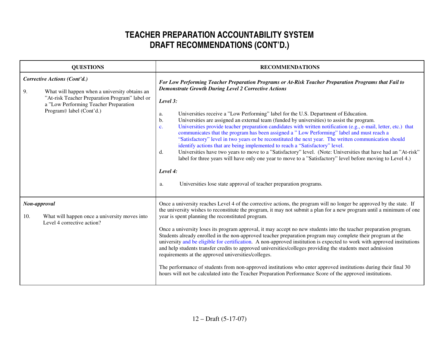| <b>QUESTIONS</b>                                                                                                                                                                                           | <b>RECOMMENDATIONS</b>                                                                                                                                                                                                                                                                                                                                                                                                                                                                                                                                                                                                                                                                                                                                                                                                                                                                                                                                                                                                                                                                                                                              |
|------------------------------------------------------------------------------------------------------------------------------------------------------------------------------------------------------------|-----------------------------------------------------------------------------------------------------------------------------------------------------------------------------------------------------------------------------------------------------------------------------------------------------------------------------------------------------------------------------------------------------------------------------------------------------------------------------------------------------------------------------------------------------------------------------------------------------------------------------------------------------------------------------------------------------------------------------------------------------------------------------------------------------------------------------------------------------------------------------------------------------------------------------------------------------------------------------------------------------------------------------------------------------------------------------------------------------------------------------------------------------|
| Corrective Actions (Cont'd.)<br>9.<br>What will happen when a university obtains an<br>"At-risk Teacher Preparation Program" label or<br>a "Low Performing Teacher Preparation<br>Program@ label (Cont'd.) | For Low Performing Teacher Preparation Programs or At-Risk Teacher Preparation Programs that Fail to<br><b>Demonstrate Growth During Level 2 Corrective Actions</b><br>Level 3:<br>Universities receive a "Low Performing" label for the U.S. Department of Education.<br>a.<br>Universities are assigned an external team (funded by universities) to assist the program.<br>$\mathbf{b}$ .<br>Universities provide teacher preparation candidates with written notification (e.g., e-mail, letter, etc.) that<br>$\mathbf{c}$ .<br>communicates that the program has been assigned a "Low Performing" label and must reach a<br>"Satisfactory" level in two years or be reconstituted the next year. The written communication should<br>identify actions that are being implemented to reach a "Satisfactory" level.<br>Universities have two years to move to a "Satisfactory" level. (Note: Universities that have had an "At-risk"<br>d.<br>label for three years will have only one year to move to a "Satisfactory" level before moving to Level 4.)<br>Level 4:<br>Universities lose state approval of teacher preparation programs.<br>a. |
| Non-approval<br>What will happen once a university moves into<br>10.<br>Level 4 corrective action?                                                                                                         | Once a university reaches Level 4 of the corrective actions, the program will no longer be approved by the state. If<br>the university wishes to reconstitute the program, it may not submit a plan for a new program until a minimum of one<br>year is spent planning the reconstituted program.<br>Once a university loses its program approval, it may accept no new students into the teacher preparation program.<br>Students already enrolled in the non-approved teacher preparation program may complete their program at the<br>university and be eligible for certification. A non-approved institution is expected to work with approved institutions<br>and help students transfer credits to approved universities/colleges providing the students meet admission<br>requirements at the approved universities/colleges.<br>The performance of students from non-approved institutions who enter approved institutions during their final 30<br>hours will not be calculated into the Teacher Preparation Performance Score of the approved institutions.                                                                              |